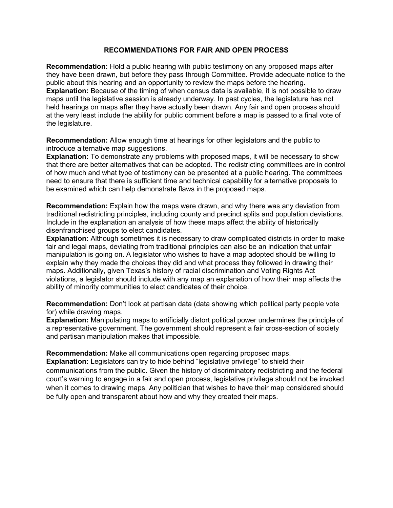## **RECOMMENDATIONS FOR FAIR AND OPEN PROCESS**

**Recommendation:** Hold a public hearing with public testimony on any proposed maps after they have been drawn, but before they pass through Committee. Provide adequate notice to the public about this hearing and an opportunity to review the maps before the hearing. **Explanation:** Because of the timing of when census data is available, it is not possible to draw maps until the legislative session is already underway. In past cycles, the legislature has not held hearings on maps after they have actually been drawn. Any fair and open process should at the very least include the ability for public comment before a map is passed to a final vote of the legislature.

**Recommendation:** Allow enough time at hearings for other legislators and the public to introduce alternative map suggestions.

**Explanation:** To demonstrate any problems with proposed maps, it will be necessary to show that there are better alternatives that can be adopted. The redistricting committees are in control of how much and what type of testimony can be presented at a public hearing. The committees need to ensure that there is sufficient time and technical capability for alternative proposals to be examined which can help demonstrate flaws in the proposed maps.

**Recommendation:** Explain how the maps were drawn, and why there was any deviation from traditional redistricting principles, including county and precinct splits and population deviations. Include in the explanation an analysis of how these maps affect the ability of historically disenfranchised groups to elect candidates.

**Explanation:** Although sometimes it is necessary to draw complicated districts in order to make fair and legal maps, deviating from traditional principles can also be an indication that unfair manipulation is going on. A legislator who wishes to have a map adopted should be willing to explain why they made the choices they did and what process they followed in drawing their maps. Additionally, given Texas's history of racial discrimination and Voting Rights Act violations, a legislator should include with any map an explanation of how their map affects the ability of minority communities to elect candidates of their choice.

**Recommendation:** Don't look at partisan data (data showing which political party people vote for) while drawing maps.

**Explanation:** Manipulating maps to artificially distort political power undermines the principle of a representative government. The government should represent a fair cross-section of society and partisan manipulation makes that impossible.

**Recommendation:** Make all communications open regarding proposed maps.

**Explanation:** Legislators can try to hide behind "legislative privilege" to shield their communications from the public. Given the history of discriminatory redistricting and the federal court's warning to engage in a fair and open process, legislative privilege should not be invoked when it comes to drawing maps. Any politician that wishes to have their map considered should be fully open and transparent about how and why they created their maps.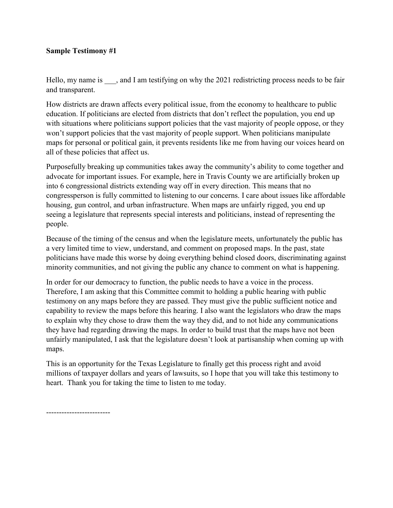## **Sample Testimony #1**

Hello, my name is , and I am testifying on why the 2021 redistricting process needs to be fair and transparent.

How districts are drawn affects every political issue, from the economy to healthcare to public education. If politicians are elected from districts that don't reflect the population, you end up with situations where politicians support policies that the vast majority of people oppose, or they won't support policies that the vast majority of people support. When politicians manipulate maps for personal or political gain, it prevents residents like me from having our voices heard on all of these policies that affect us.

Purposefully breaking up communities takes away the community's ability to come together and advocate for important issues. For example, here in Travis County we are artificially broken up into 6 congressional districts extending way off in every direction. This means that no congressperson is fully committed to listening to our concerns. I care about issues like affordable housing, gun control, and urban infrastructure. When maps are unfairly rigged, you end up seeing a legislature that represents special interests and politicians, instead of representing the people.

Because of the timing of the census and when the legislature meets, unfortunately the public has a very limited time to view, understand, and comment on proposed maps. In the past, state politicians have made this worse by doing everything behind closed doors, discriminating against minority communities, and not giving the public any chance to comment on what is happening.

In order for our democracy to function, the public needs to have a voice in the process. Therefore, I am asking that this Committee commit to holding a public hearing with public testimony on any maps before they are passed. They must give the public sufficient notice and capability to review the maps before this hearing. I also want the legislators who draw the maps to explain why they chose to draw them the way they did, and to not hide any communications they have had regarding drawing the maps. In order to build trust that the maps have not been unfairly manipulated, I ask that the legislature doesn't look at partisanship when coming up with maps.

This is an opportunity for the Texas Legislature to finally get this process right and avoid millions of taxpayer dollars and years of lawsuits, so I hope that you will take this testimony to heart. Thank you for taking the time to listen to me today.

-------------------------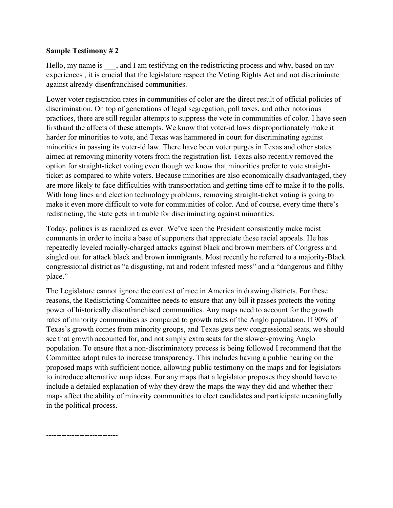## **Sample Testimony # 2**

Hello, my name is , and I am testifying on the redistricting process and why, based on my experiences , it is crucial that the legislature respect the Voting Rights Act and not discriminate against already-disenfranchised communities.

Lower voter registration rates in communities of color are the direct result of official policies of discrimination. On top of generations of legal segregation, poll taxes, and other notorious practices, there are still regular attempts to suppress the vote in communities of color. I have seen firsthand the affects of these attempts. We know that voter-id laws disproportionately make it harder for minorities to vote, and Texas was hammered in court for discriminating against minorities in passing its voter-id law. There have been voter purges in Texas and other states aimed at removing minority voters from the registration list. Texas also recently removed the option for straight-ticket voting even though we know that minorities prefer to vote straightticket as compared to white voters. Because minorities are also economically disadvantaged, they are more likely to face difficulties with transportation and getting time off to make it to the polls. With long lines and election technology problems, removing straight-ticket voting is going to make it even more difficult to vote for communities of color. And of course, every time there's redistricting, the state gets in trouble for discriminating against minorities.

Today, politics is as racialized as ever. We've seen the President consistently make racist comments in order to incite a base of supporters that appreciate these racial appeals. He has repeatedly leveled racially-charged attacks against black and brown members of Congress and singled out for attack black and brown immigrants. Most recently he referred to a majority-Black congressional district as "a disgusting, rat and rodent infested mess" and a "dangerous and filthy place."

The Legislature cannot ignore the context of race in America in drawing districts. For these reasons, the Redistricting Committee needs to ensure that any bill it passes protects the voting power of historically disenfranchised communities. Any maps need to account for the growth rates of minority communities as compared to growth rates of the Anglo population. If 90% of Texas's growth comes from minority groups, and Texas gets new congressional seats, we should see that growth accounted for, and not simply extra seats for the slower-growing Anglo population. To ensure that a non-discriminatory process is being followed I recommend that the Committee adopt rules to increase transparency. This includes having a public hearing on the proposed maps with sufficient notice, allowing public testimony on the maps and for legislators to introduce alternative map ideas. For any maps that a legislator proposes they should have to include a detailed explanation of why they drew the maps the way they did and whether their maps affect the ability of minority communities to elect candidates and participate meaningfully in the political process.

----------------------------